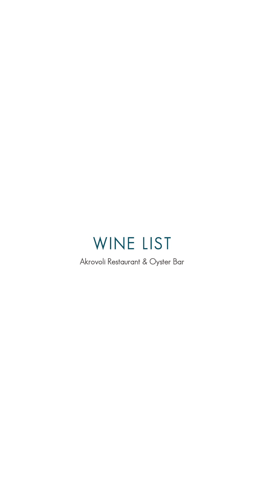# WINE LIST

Akrovoli Restaurant & Oyster Bar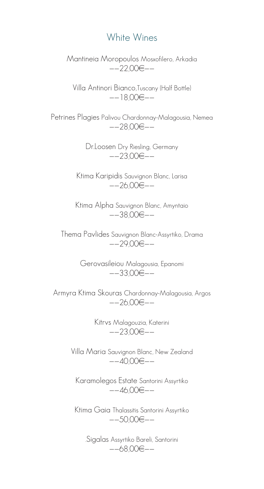### White Wines

Mantineia Moropoulos Mosxofilero, Arkadia  $-22006 -$ 

Villa Antinori Bianco,Tuscany (Half Bottle)  $-18,006--$ 

Petrines Plagies Palivou Chardonnay-Malagousia, Nemea ——28,00€——

> Dr.Loosen Dry Riesling, Germany  $-23,006--$

Ktima Karipidis Sauvignon Blanc, Larisa ——26,00€——

Ktima Alpha Sauvignon Blanc, Amyntaio  $-38,006--$ 

Thema Pavlides Sauvignon Blanc-Assyrtiko, Drama ——29,00€——

> Gerovasileiou Malagousia, Epanomi ——33,00€——

Armyra Ktima Skouras Chardonnay-Malagousia, Argos ——26,00€——

> Kitrvs Malagouzia, Katerini ——23,00€——

Villa Maria Sauvignon Blanc, New Zealand ——40,00€——

Karamolegos Estate Santorini Assyrtiko ——46,00€——

Ktima Gaia Thalassitis Santorini Assyrtiko ——50,00€——

.Sigalas Assyrtiko Bareli, Santorini ——68,00€——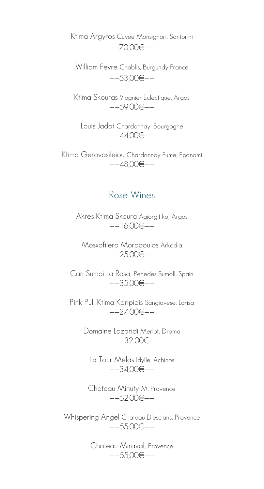Ktima Argyros Cuvee Monsignori, Santorini ——70,00€——

William Fevre Chablis, Burgundy France ——53,00€——

Ktima Skouras Viognier Eclectique, Argos ——59,00€——

Louis Jadot Chardonnay, Bourgogne  $-4400E--$ 

Ktima Gerovasileiou Chardonnay Fume, Epanomi ——48,00€——

#### Rose Wines

Akres Ktima Skoura Agiorgitiko, Argos ——16,00€——

Mosxofilero Moropoulos Arkadia ——25,00€——

Can Sumoi La Rosa, Penedes Sumoll, Spain ——35,00€——

Pink Pull Ktima Karipidis Sangiovese, Larisa ——27,00€——

> Domaine Lazaridi Merlot, Drama ——32,00€——

La Tour Melas Idylle, Achinos ——34,00€——

Chateau Minuty M, Provence ——52,00€——

Whispering Angel Chateau D'esclans, Provence ——55,00€——

> Chateau Miraval, Provence ——55,00€——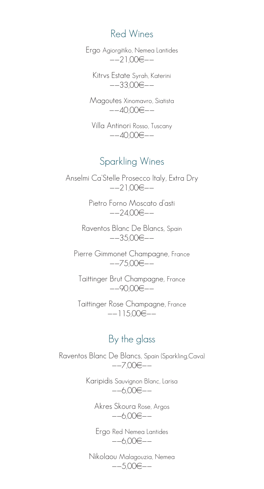### Red Wines

Ergo Agiorgitiko, Nemea Lantides ——21,00€——

Kitrvs Estate Syrah, Katerini ——33,00€——

Magoutes Xinomavro, Siatista ——40,00€——

Villa Antinori Rosso, Tuscany ——40,00€——

# Sparkling Wines

Anselmi Ca'Stelle Prosecco Italy, Extra Dry ——21,00€——

> Pietro Forno Moscato d'asti ——24,00€——

Raventos Blanc De Blancs, Spain  $-35006--$ 

Pierre Gimmonet Champagne, France ——75,00€——

Taittinger Brut Champagne, France ——90,00€——

Taittinger Rose Champagne, France ——115,00€——

# By the glass

Raventos Blanc De Blancs, Spain (Sparkling,Cava) ——7,00€——

> Karipidis Sauvignon Blanc, Larisa ——6,00€——

Akres Skoura Rose, Argos ——6,00€——

Ergo Red Nemea Lantides ——6,00€——

Nikolaou Malagouzia, Nemea ——5,00€——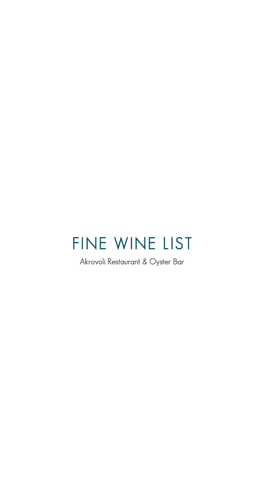# FINE WINE LIST

Akrovoli Restaurant & Oyster Bar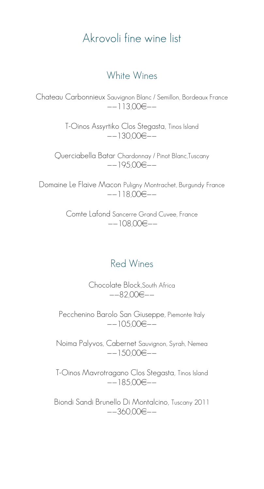# Akrovoli fine wine list

# White Wines

Chateau Carbonnieux Sauvignon Blanc / Semillon, Bordeaux France ——113,00€——

> T-Oinos Assyrtiko Clos Stegasta, Tinos Island ——130,00€——

Querciabella Batar Chardonnay / Pinot Blanc,Tuscany ——195,00€——

Domaine Le Flaive Macon Puligny Montrachet, Burgundy France ——118,00€——

> Comte Lafond Sancerre Grand Cuvee, France ——108,00€——

# Red Wines

Chocolate Block,South Africa ——82,00€——

Pecchenino Barolo San Giuseppe, Piemonte Italy ——105,00€——

Noima Palyvos, Cabernet Sauvignon, Syrah, Nemea ——150,00€——

T-Oinos Mavrotragano Clos Stegasta, Tinos Island ——185,00€——

Biondi Sandi Brunello Di Montalcino, Tuscany 2011 ——360,00€——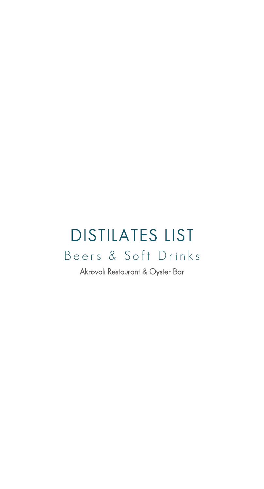# DISTILATES LIST Beers & Soft Drinks

Akrovoli Restaurant & Oyster Bar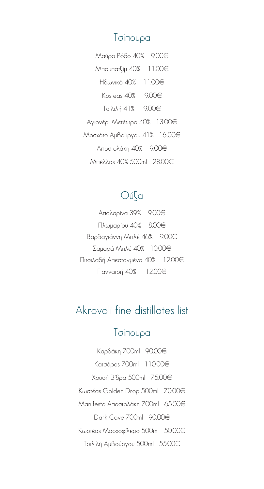#### Τσίπουρα

Μαύρο Ρόδο 40% 9.00€ Μπαμπατζίμ 40% 11.00€ Ηδωνικό 40% 11.00€ Kosteas 40% 9.00€ Τσιλιλή 41% 9.00€ Αγιονέρι Μετέωρα 40% 13.00€ Μοσχάτο Αμβούργου 41% 16,00€ Αποστολάκη 40% 9.00€ Μπέλλας 40% 500ml 28.00€

# Ούζα

Απαλαρίνα 39% 9.00€ Πλωμαρίου 40% 8.00€ Βαρβαγιάννη Μπλέ 46% 9.00€ Σαμαρά Μπλέ 40% 10.00€ Πιτσιλαδή Απεσταγμένο 40% 12.00€ Γιαννατσή 40% 12.00€

# Akrovoli fine distillates list

#### Τσίπουρα

Καρδάκη 700ml 90.00€ Κατσάρος 700ml 110.00€ Χρυσή Βίδρα 500ml 75.00€ Κωστέας Golden Drop 500ml 70.00€ Manifesto Αποστολάκη 700ml 65.00€ Dark Cave 700ml 90.00€ Κωστέας Μοσχοφίλερο 500ml 50.00€ Τσιλιλή Αμβούργου 500ml 55.00€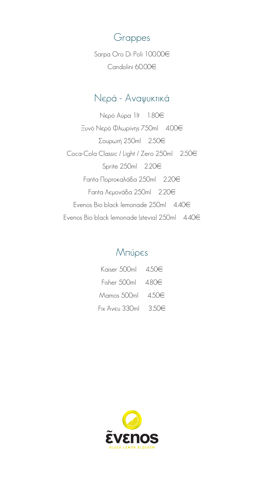# Grappes

Sarpa Oro Di Poli 100.00€ Candolini 60.00€

#### Νερά - Αναψυκτικά

Νερό Αύρα 1lt 1.80€ Ξυνό Νερό Φλωρίνης 750ml 4.00€ Σουρωτή 250ml 2.50€ Coca-Cola Classic / Light / Zero 250ml 2.50€ Sprite 250ml 2.20€ Fanta Πορτοκαλάδα 250ml 2.20€ Fanta Λεμονάδα 250ml 2.20€ Evenos Bio black lemonade 250ml 4.40€ Evenos Bio black lemonade (stevia) 250ml 4.40€

# Μπύρες

| Kaiser 500ml $\,$ 4.50 $\in$ |  |
|------------------------------|--|
| Fisher 500ml $4.80 \in$      |  |
| Mamos 500ml 4.50€            |  |
| Fix Aveu 330ml 3.50€         |  |

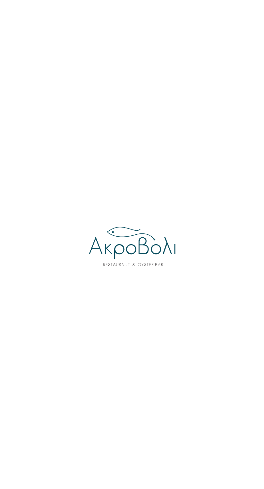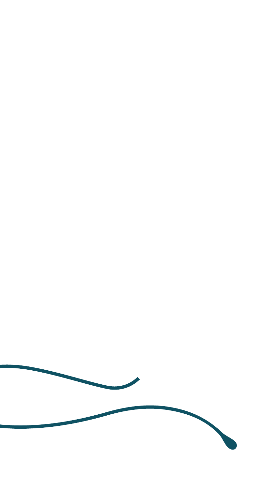